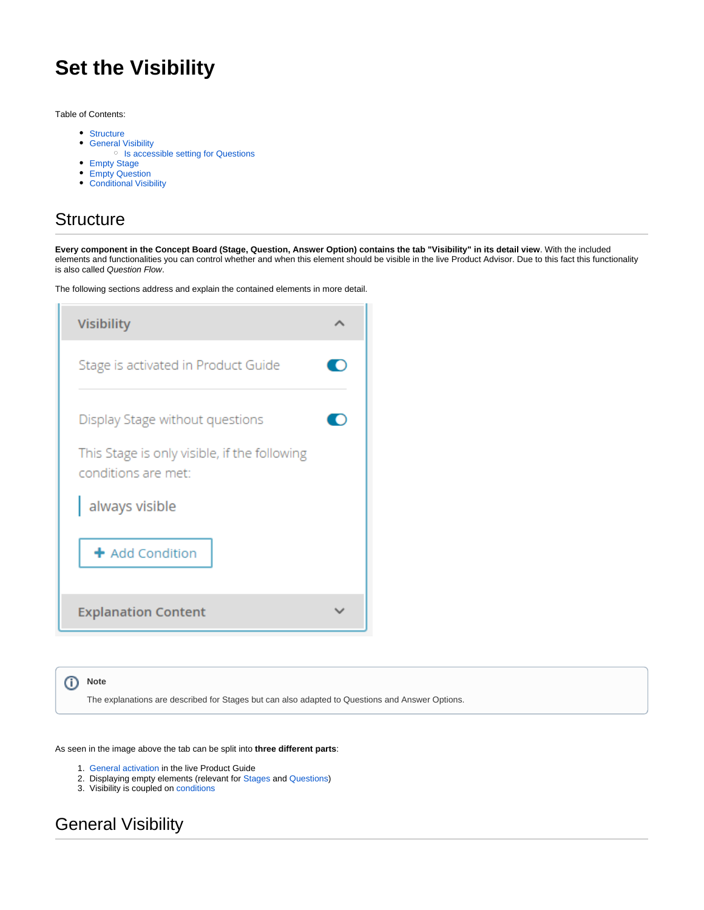# **Set the Visibility**

Table of Contents:

- [Structure](#page-0-0)
- **[General Visibility](#page-0-1)** 
	- <sup>o</sup> [Is accessible setting for Questions](#page-1-0)
- [Empty Stage](#page-1-1)
- [Empty Question](#page-1-2)
- [Conditional Visibility](#page-2-0)

### <span id="page-0-0"></span>**Structure**

**Every component in the Concept Board (Stage, Question, Answer Option) contains the tab "Visibility" in its detail view**. With the included elements and functionalities you can control whether and when this element should be visible in the live Product Advisor. Due to this fact this functionality is also called Question Flow.

The following sections address and explain the contained elements in more detail.

| <b>Visibility</b>                                                   |  |  |  |
|---------------------------------------------------------------------|--|--|--|
| Stage is activated in Product Guide                                 |  |  |  |
| Display Stage without questions                                     |  |  |  |
| This Stage is only visible, if the following<br>conditions are met: |  |  |  |
| always visible                                                      |  |  |  |
| + Add Condition                                                     |  |  |  |
| <b>Explanation Content</b>                                          |  |  |  |

**Note** The explanations are described for Stages but can also adapted to Questions and Answer Options.

As seen in the image above the tab can be split into **three different parts**:

- 1. [General activation](#page-0-1) in the live Product Guide
- 2. Displaying empty elements (relevant for [Stages](#page-1-1) and [Questions\)](#page-1-2)
- 3. Visibility is coupled on conditions

### <span id="page-0-1"></span>General Visibility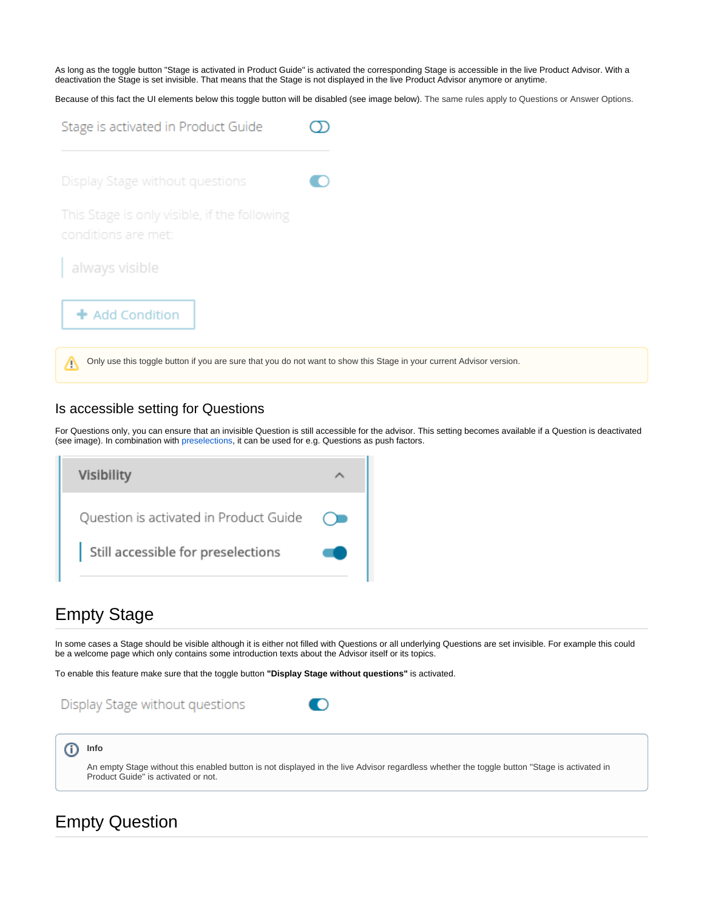As long as the toggle button "Stage is activated in Product Guide" is activated the corresponding Stage is accessible in the live Product Advisor. With a deactivation the Stage is set invisible. That means that the Stage is not displayed in the live Product Advisor anymore or anytime.

Because of this fact the UI elements below this toggle button will be disabled (see image below). The same rules apply to Questions or Answer Options.

| Stage is activated in Product Guide                                                                                       |  |  |
|---------------------------------------------------------------------------------------------------------------------------|--|--|
| Display Stage without questions                                                                                           |  |  |
| This Stage is only visible, if the following<br>conditions are met:                                                       |  |  |
| always visible                                                                                                            |  |  |
| + Add Condition                                                                                                           |  |  |
| Only use this toggle button if you are sure that you do not want to show this Stage in your current Advisor version.<br>m |  |  |

#### <span id="page-1-0"></span>Is accessible setting for Questions

For Questions only, you can ensure that an invisible Question is still accessible for the advisor. This setting becomes available if a Question is deactivated (see image). In combination with [preselections](https://documentation.excentos.com/display/WORKBENCH/Preselection+Configuration), it can be used for e.g. Questions as push factors.

| Visibility                             |  |
|----------------------------------------|--|
| Question is activated in Product Guide |  |
| Still accessible for preselections     |  |

### <span id="page-1-1"></span>Empty Stage

In some cases a Stage should be visible although it is either not filled with Questions or all underlying Questions are set invisible. For example this could be a welcome page which only contains some introduction texts about the Advisor itself or its topics.

To enable this feature make sure that the toggle button **"Display Stage without questions"** is activated.

### Display Stage without questions



#### ወ **Info** An empty Stage without this enabled button is not displayed in the live Advisor regardless whether the toggle button "Stage is activated in Product Guide" is activated or not.

### <span id="page-1-2"></span>Empty Question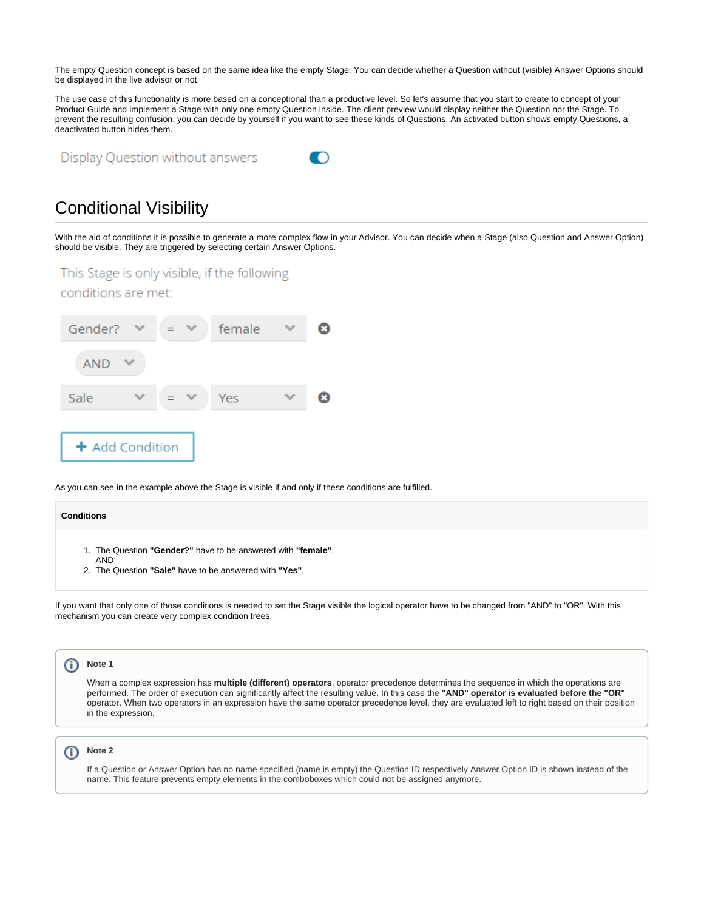The empty Question concept is based on the same idea like the empty Stage. You can decide whether a Question without (visible) Answer Options should be displayed in the live advisor or not.

The use case of this functionality is more based on a conceptional than a productive level. So let's assume that you start to create to concept of your Product Guide and implement a Stage with only one empty Question inside. The client preview would display neither the Question nor the Stage. To prevent the resulting confusion, you can decide by yourself if you want to see these kinds of Questions. An activated button shows empty Questions, a deactivated button hides them.

Display Question without answers



## <span id="page-2-0"></span>Conditional Visibility

With the aid of conditions it is possible to generate a more complex flow in your Advisor. You can decide when a Stage (also Question and Answer Option) should be visible. They are triggered by selecting certain Answer Options.

This Stage is only visible, if the following

conditions are met:



As you can see in the example above the Stage is visible if and only if these conditions are fulfilled.



If you want that only one of those conditions is needed to set the Stage visible the logical operator have to be changed from "AND" to "OR". With this mechanism you can create very complex condition trees.



ത